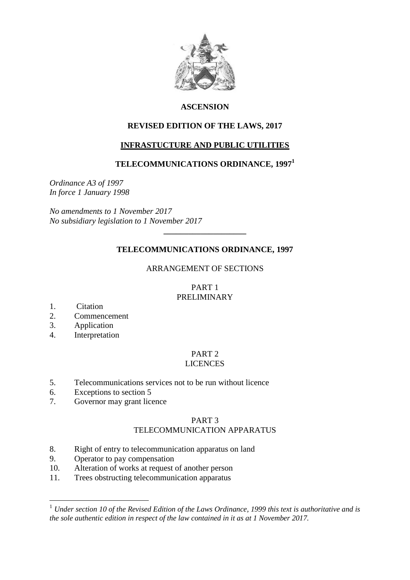

# **ASCENSION**

# **REVISED EDITION OF THE LAWS, 2017**

# **INFRASTUCTURE AND PUBLIC UTILITIES**

# **TELECOMMUNICATIONS ORDINANCE, 1997 1**

*Ordinance A3 of 1997 In force 1 January 1998*

*No amendments to 1 November 2017 No subsidiary legislation to 1 November 2017*

# **TELECOMMUNICATIONS ORDINANCE, 1997**

**\_\_\_\_\_\_\_\_\_\_\_\_\_\_\_\_\_\_\_\_**

### ARRANGEMENT OF SECTIONS

### PART 1 PRELIMINARY

1. Citation

1

- 2. Commencement
- 3. Application
- 4. Interpretation

#### PART 2 LICENCES

- 5. Telecommunications services not to be run without licence
- 6. Exceptions to section 5
- 7. Governor may grant licence

# PART 3

# TELECOMMUNICATION APPARATUS

- 8. Right of entry to telecommunication apparatus on land
- 9. Operator to pay compensation
- 10. Alteration of works at request of another person
- 11. Trees obstructing telecommunication apparatus

<sup>1</sup> *Under section 10 of the Revised Edition of the Laws Ordinance, 1999 this text is authoritative and is the sole authentic edition in respect of the law contained in it as at 1 November 2017.*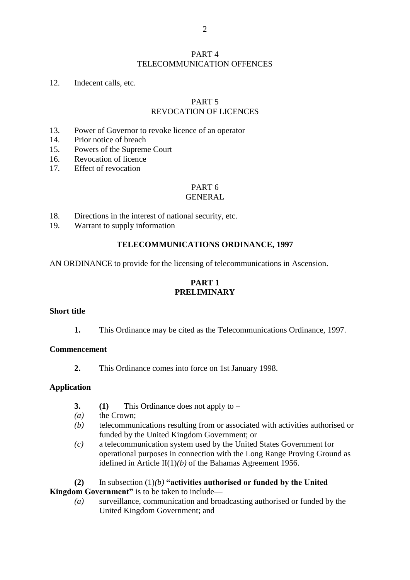### PART 4 TELECOMMUNICATION OFFENCES

### 12. Indecent calls, etc.

### PART 5

# REVOCATION OF LICENCES

- 13. Power of Governor to revoke licence of an operator
- 14. Prior notice of breach
- 15. Powers of the Supreme Court
- 16. Revocation of licence
- 17. Effect of revocation

# PART 6

## GENERAL

- 18. Directions in the interest of national security, etc.
- 19. Warrant to supply information

### **TELECOMMUNICATIONS ORDINANCE, 1997**

AN ORDINANCE to provide for the licensing of telecommunications in Ascension.

## **PART 1 PRELIMINARY**

#### **Short title**

**1.** This Ordinance may be cited as the Telecommunications Ordinance, 1997.

#### **Commencement**

**2.** This Ordinance comes into force on 1st January 1998.

#### **Application**

- **3. (1)** This Ordinance does not apply to –
- *(a)* the Crown;
- *(b)* telecommunications resulting from or associated with activities authorised or funded by the United Kingdom Government; or
- *(c)* a telecommunication system used by the United States Government for operational purposes in connection with the Long Range Proving Ground as idefined in Article II(1)*(b)* of the Bahamas Agreement 1956.
- **(2)** In subsection (1)*(b)* **"activities authorised or funded by the United**

**Kingdom Government**" is to be taken to include—

*(a)* surveillance, communication and broadcasting authorised or funded by the United Kingdom Government; and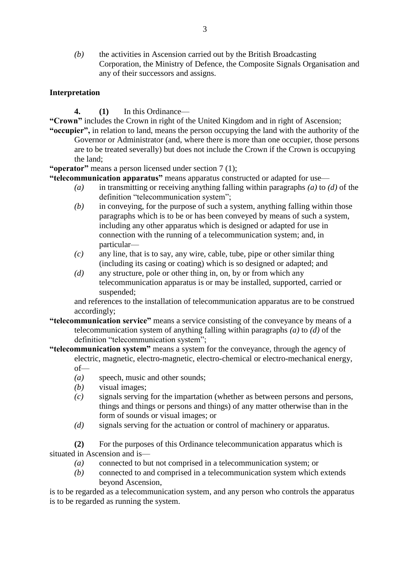*(b)* the activities in Ascension carried out by the British Broadcasting Corporation, the Ministry of Defence, the Composite Signals Organisation and any of their successors and assigns.

# **Interpretation**

- **4. (1)** In this Ordinance—
- **"Crown"** includes the Crown in right of the United Kingdom and in right of Ascension;
- **"occupier",** in relation to land, means the person occupying the land with the authority of the Governor or Administrator (and, where there is more than one occupier, those persons are to be treated severally) but does not include the Crown if the Crown is occupying the land;

**"operator"** means a person licensed under section 7 (1);

**"telecommunication apparatus"** means apparatus constructed or adapted for use—

- *(a)* in transmitting or receiving anything falling within paragraphs *(a)* to *(d)* of the definition "telecommunication system";
- *(b)* in conveying, for the purpose of such a system, anything falling within those paragraphs which is to be or has been conveyed by means of such a system, including any other apparatus which is designed or adapted for use in connection with the running of a telecommunication system; and, in particular—
- *(c)* any line, that is to say, any wire, cable, tube, pipe or other similar thing (including its casing or coating) which is so designed or adapted; and
- *(d)* any structure, pole or other thing in, on, by or from which any telecommunication apparatus is or may be installed, supported, carried or suspended;

and references to the installation of telecommunication apparatus are to be construed accordingly;

- **"telecommunication service"** means a service consisting of the conveyance by means of a telecommunication system of anything falling within paragraphs *(a)* to *(d)* of the definition "telecommunication system";
- **"telecommunication system"** means a system for the conveyance, through the agency of electric, magnetic, electro-magnetic, electro-chemical or electro-mechanical energy, of—
	- *(a)* speech, music and other sounds;
	- *(b)* visual images;
	- *(c)* signals serving for the impartation (whether as between persons and persons, things and things or persons and things) of any matter otherwise than in the form of sounds or visual images; or
	- *(d)* signals serving for the actuation or control of machinery or apparatus.

**(2)** For the purposes of this Ordinance telecommunication apparatus which is situated in Ascension and is—

- *(a)* connected to but not comprised in a telecommunication system; or
- *(b)* connected to and comprised in a telecommunication system which extends beyond Ascension,

is to be regarded as a telecommunication system, and any person who controls the apparatus is to be regarded as running the system.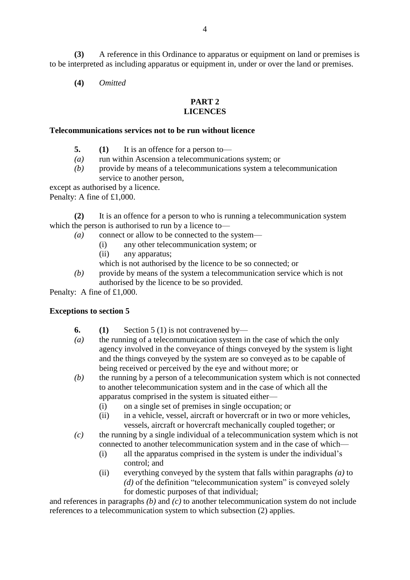**(3)** A reference in this Ordinance to apparatus or equipment on land or premises is to be interpreted as including apparatus or equipment in, under or over the land or premises.

**(4)** *Omitted*

#### **PART 2 LICENCES**

### **Telecommunications services not to be run without licence**

- **5. (1)** It is an offence for a person to—
- *(a)* run within Ascension a telecommunications system; or
- *(b)* provide by means of a telecommunications system a telecommunication service to another person,
- except as authorised by a licence.

Penalty: A fine of £1,000.

**(2)** It is an offence for a person to who is running a telecommunication system which the person is authorised to run by a licence to—

- *(a)* connect or allow to be connected to the system—
	- (i) any other telecommunication system; or
	- (ii) any apparatus;
	- which is not authorised by the licence to be so connected; or
- *(b)* provide by means of the system a telecommunication service which is not authorised by the licence to be so provided.

Penalty: A fine of £1,000.

### **Exceptions to section 5**

- **6. (1)** Section 5 (1) is not contravened by—
- *(a)* the running of a telecommunication system in the case of which the only agency involved in the conveyance of things conveyed by the system is light and the things conveyed by the system are so conveyed as to be capable of being received or perceived by the eye and without more; or
- *(b)* the running by a person of a telecommunication system which is not connected to another telecommunication system and in the case of which all the apparatus comprised in the system is situated either—
	- (i) on a single set of premises in single occupation; or
	- (ii) in a vehicle, vessel, aircraft or hovercraft or in two or more vehicles, vessels, aircraft or hovercraft mechanically coupled together; or
- *(c)* the running by a single individual of a telecommunication system which is not connected to another telecommunication system and in the case of which—
	- (i) all the apparatus comprised in the system is under the individual's control; and
	- (ii) everything conveyed by the system that falls within paragraphs *(a)* to *(d)* of the definition "telecommunication system" is conveyed solely for domestic purposes of that individual;

and references in paragraphs *(b)* and *(c)* to another telecommunication system do not include references to a telecommunication system to which subsection (2) applies.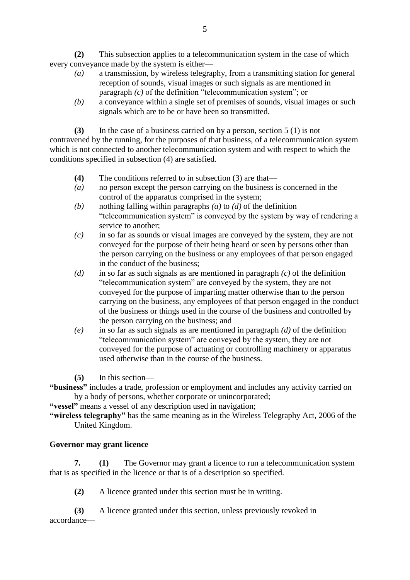**(2)** This subsection applies to a telecommunication system in the case of which every conveyance made by the system is either—

- *(a)* a transmission, by wireless telegraphy, from a transmitting station for general reception of sounds, visual images or such signals as are mentioned in paragraph *(c)* of the definition "telecommunication system"; or
- *(b)* a conveyance within a single set of premises of sounds, visual images or such signals which are to be or have been so transmitted.

**(3)** In the case of a business carried on by a person, section 5 (1) is not contravened by the running, for the purposes of that business, of a telecommunication system which is not connected to another telecommunication system and with respect to which the conditions specified in subsection (4) are satisfied.

- **(4)** The conditions referred to in subsection (3) are that—
- *(a)* no person except the person carrying on the business is concerned in the control of the apparatus comprised in the system;
- *(b)* nothing falling within paragraphs *(a)* to *(d)* of the definition "telecommunication system" is conveyed by the system by way of rendering a service to another;
- *(c)* in so far as sounds or visual images are conveyed by the system, they are not conveyed for the purpose of their being heard or seen by persons other than the person carrying on the business or any employees of that person engaged in the conduct of the business;
- *(d)* in so far as such signals as are mentioned in paragraph *(c)* of the definition "telecommunication system" are conveyed by the system, they are not conveyed for the purpose of imparting matter otherwise than to the person carrying on the business, any employees of that person engaged in the conduct of the business or things used in the course of the business and controlled by the person carrying on the business; and
- *(e)* in so far as such signals as are mentioned in paragraph *(d)* of the definition "telecommunication system" are conveyed by the system, they are not conveyed for the purpose of actuating or controlling machinery or apparatus used otherwise than in the course of the business.

**(5)** In this section—

**"business"** includes a trade, profession or employment and includes any activity carried on by a body of persons, whether corporate or unincorporated;

**"vessel"** means a vessel of any description used in navigation;

**"wireless telegraphy"** has the same meaning as in the Wireless Telegraphy Act, 2006 of the United Kingdom.

# **Governor may grant licence**

**7. (1)** The Governor may grant a licence to run a telecommunication system that is as specified in the licence or that is of a description so specified.

**(2)** A licence granted under this section must be in writing.

**(3)** A licence granted under this section, unless previously revoked in accordance—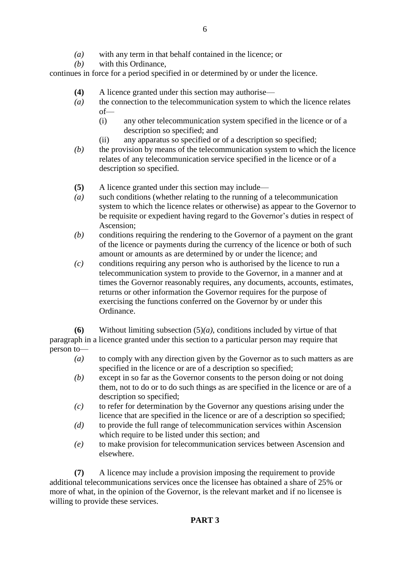- *(a)* with any term in that behalf contained in the licence; or
- *(b)* with this Ordinance,

continues in force for a period specified in or determined by or under the licence.

- **(4)** A licence granted under this section may authorise—
- *(a)* the connection to the telecommunication system to which the licence relates of—
	- (i) any other telecommunication system specified in the licence or of a description so specified; and
	- (ii) any apparatus so specified or of a description so specified;
- *(b)* the provision by means of the telecommunication system to which the licence relates of any telecommunication service specified in the licence or of a description so specified.
- **(5)** A licence granted under this section may include—
- *(a)* such conditions (whether relating to the running of a telecommunication system to which the licence relates or otherwise) as appear to the Governor to be requisite or expedient having regard to the Governor's duties in respect of Ascension;
- *(b)* conditions requiring the rendering to the Governor of a payment on the grant of the licence or payments during the currency of the licence or both of such amount or amounts as are determined by or under the licence; and
- *(c)* conditions requiring any person who is authorised by the licence to run a telecommunication system to provide to the Governor, in a manner and at times the Governor reasonably requires, any documents, accounts, estimates, returns or other information the Governor requires for the purpose of exercising the functions conferred on the Governor by or under this Ordinance.

**(6)** Without limiting subsection (5)*(a)*, conditions included by virtue of that paragraph in a licence granted under this section to a particular person may require that person to—

- *(a)* to comply with any direction given by the Governor as to such matters as are specified in the licence or are of a description so specified;
- *(b)* except in so far as the Governor consents to the person doing or not doing them, not to do or to do such things as are specified in the licence or are of a description so specified;
- *(c)* to refer for determination by the Governor any questions arising under the licence that are specified in the licence or are of a description so specified;
- *(d)* to provide the full range of telecommunication services within Ascension which require to be listed under this section; and
- *(e)* to make provision for telecommunication services between Ascension and elsewhere.

**(7)** A licence may include a provision imposing the requirement to provide additional telecommunications services once the licensee has obtained a share of 25% or more of what, in the opinion of the Governor, is the relevant market and if no licensee is willing to provide these services.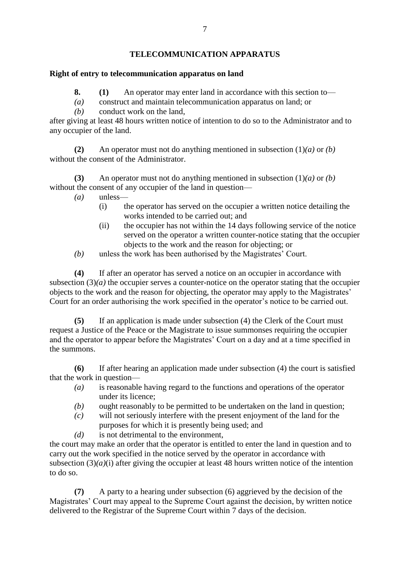# **Right of entry to telecommunication apparatus on land**

- **8. (1)** An operator may enter land in accordance with this section to—
- *(a)* construct and maintain telecommunication apparatus on land; or
- *(b)* conduct work on the land,

after giving at least 48 hours written notice of intention to do so to the Administrator and to any occupier of the land.

**(2)** An operator must not do anything mentioned in subsection (1)*(a)* or *(b)* without the consent of the Administrator.

**(3)** An operator must not do anything mentioned in subsection (1)*(a)* or *(b)* without the consent of any occupier of the land in question—

- *(a)* unless—
	- (i) the operator has served on the occupier a written notice detailing the works intended to be carried out; and
	- (ii) the occupier has not within the 14 days following service of the notice served on the operator a written counter-notice stating that the occupier objects to the work and the reason for objecting; or
- *(b)* unless the work has been authorised by the Magistrates' Court.

**(4)** If after an operator has served a notice on an occupier in accordance with subsection  $(3)(a)$  the occupier serves a counter-notice on the operator stating that the occupier objects to the work and the reason for objecting, the operator may apply to the Magistrates' Court for an order authorising the work specified in the operator's notice to be carried out.

**(5)** If an application is made under subsection (4) the Clerk of the Court must request a Justice of the Peace or the Magistrate to issue summonses requiring the occupier and the operator to appear before the Magistrates' Court on a day and at a time specified in the summons.

**(6)** If after hearing an application made under subsection (4) the court is satisfied that the work in question—

- *(a)* is reasonable having regard to the functions and operations of the operator under its licence;
- *(b)* ought reasonably to be permitted to be undertaken on the land in question;
- *(c)* will not seriously interfere with the present enjoyment of the land for the purposes for which it is presently being used; and
- *(d)* is not detrimental to the environment,

the court may make an order that the operator is entitled to enter the land in question and to carry out the work specified in the notice served by the operator in accordance with subsection  $(3)(a)(i)$  after giving the occupier at least 48 hours written notice of the intention to do so.

**(7)** A party to a hearing under subsection (6) aggrieved by the decision of the Magistrates' Court may appeal to the Supreme Court against the decision, by written notice delivered to the Registrar of the Supreme Court within 7 days of the decision.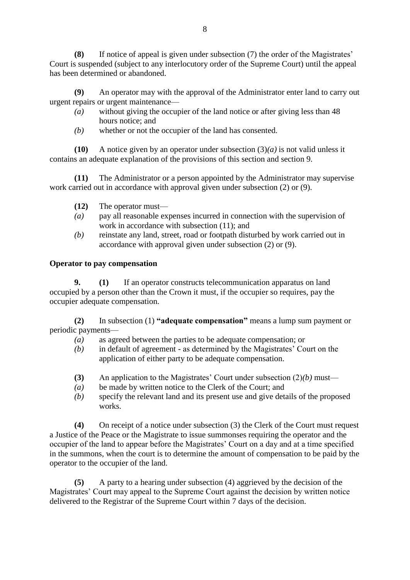**(8)** If notice of appeal is given under subsection (7) the order of the Magistrates' Court is suspended (subject to any interlocutory order of the Supreme Court) until the appeal has been determined or abandoned.

**(9)** An operator may with the approval of the Administrator enter land to carry out urgent repairs or urgent maintenance—

- *(a)* without giving the occupier of the land notice or after giving less than 48 hours notice; and
- *(b)* whether or not the occupier of the land has consented.

**(10)** A notice given by an operator under subsection (3)*(a)* is not valid unless it contains an adequate explanation of the provisions of this section and section 9.

**(11)** The Administrator or a person appointed by the Administrator may supervise work carried out in accordance with approval given under subsection (2) or (9).

- **(12)** The operator must—
- *(a)* pay all reasonable expenses incurred in connection with the supervision of work in accordance with subsection (11); and
- *(b)* reinstate any land, street, road or footpath disturbed by work carried out in accordance with approval given under subsection (2) or (9).

### **Operator to pay compensation**

**9. (1)** If an operator constructs telecommunication apparatus on land occupied by a person other than the Crown it must, if the occupier so requires, pay the occupier adequate compensation.

**(2)** In subsection (1) **"adequate compensation"** means a lump sum payment or periodic payments—

- *(a)* as agreed between the parties to be adequate compensation; or
- *(b)* in default of agreement as determined by the Magistrates' Court on the application of either party to be adequate compensation.
- **(3)** An application to the Magistrates' Court under subsection (2)*(b)* must—
- *(a)* be made by written notice to the Clerk of the Court; and
- *(b)* specify the relevant land and its present use and give details of the proposed works.

**(4)** On receipt of a notice under subsection (3) the Clerk of the Court must request a Justice of the Peace or the Magistrate to issue summonses requiring the operator and the occupier of the land to appear before the Magistrates' Court on a day and at a time specified in the summons, when the court is to determine the amount of compensation to be paid by the operator to the occupier of the land.

**(5)** A party to a hearing under subsection (4) aggrieved by the decision of the Magistrates' Court may appeal to the Supreme Court against the decision by written notice delivered to the Registrar of the Supreme Court within 7 days of the decision.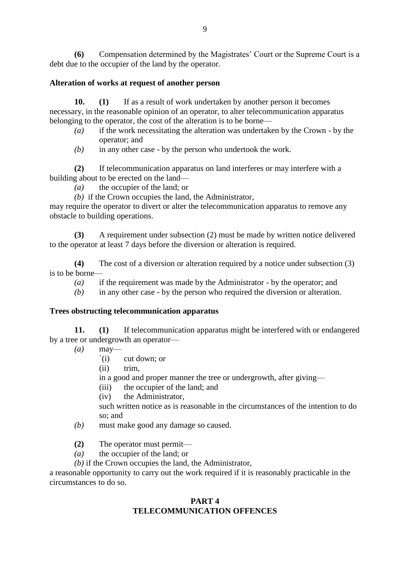**(6)** Compensation determined by the Magistrates' Court or the Supreme Court is a debt due to the occupier of the land by the operator.

## **Alteration of works at request of another person**

**10. (1)** If as a result of work undertaken by another person it becomes necessary, in the reasonable opinion of an operator, to alter telecommunication apparatus belonging to the operator, the cost of the alteration is to be borne—

- *(a)* if the work necessitating the alteration was undertaken by the Crown by the operator; and
- *(b)* in any other case by the person who undertook the work.

**(2)** If telecommunication apparatus on land interferes or may interfere with a building about to be erected on the land—

*(a)* the occupier of the land; or

*(b)* if the Crown occupies the land, the Administrator,

may require the operator to divert or alter the telecommunication apparatus to remove any obstacle to building operations.

**(3)** A requirement under subsection (2) must be made by written notice delivered to the operator at least 7 days before the diversion or alteration is required.

**(4)** The cost of a diversion or alteration required by a notice under subsection (3) is to be borne—

- *(a)* if the requirement was made by the Administrator by the operator; and
- *(b)* in any other case by the person who required the diversion or alteration.

# **Trees obstructing telecommunication apparatus**

**11. (1)** If telecommunication apparatus might be interfered with or endangered by a tree or undergrowth an operator—

- *(a)* may—
	- `(i) cut down; or
	- (ii) trim,

in a good and proper manner the tree or undergrowth, after giving—

- (iii) the occupier of the land; and
- (iv) the Administrator,

such written notice as is reasonable in the circumstances of the intention to do so; and

- *(b)* must make good any damage so caused.
- **(2)** The operator must permit—
- *(a)* the occupier of the land; or
- *(b)* if the Crown occupies the land, the Administrator,

a reasonable opportunity to carry out the work required if it is reasonably practicable in the circumstances to do so.

### **PART 4 TELECOMMUNICATION OFFENCES**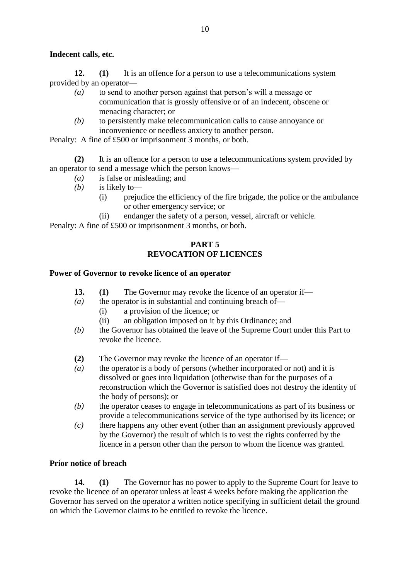# **Indecent calls, etc.**

**12. (1)** It is an offence for a person to use a telecommunications system provided by an operator—

- *(a)* to send to another person against that person's will a message or communication that is grossly offensive or of an indecent, obscene or menacing character; or
- *(b)* to persistently make telecommunication calls to cause annoyance or inconvenience or needless anxiety to another person.

Penalty: A fine of £500 or imprisonment 3 months, or both.

**(2)** It is an offence for a person to use a telecommunications system provided by an operator to send a message which the person knows—

- *(a)* is false or misleading; and
- *(b)* is likely to—
	- (i) prejudice the efficiency of the fire brigade, the police or the ambulance or other emergency service; or
	- (ii) endanger the safety of a person, vessel, aircraft or vehicle.

Penalty: A fine of £500 or imprisonment 3 months, or both.

## **PART 5 REVOCATION OF LICENCES**

#### **Power of Governor to revoke licence of an operator**

- **13. (1)** The Governor may revoke the licence of an operator if—
- *(a)* the operator is in substantial and continuing breach of—
	- (i) a provision of the licence; or
	- (ii) an obligation imposed on it by this Ordinance; and
- *(b)* the Governor has obtained the leave of the Supreme Court under this Part to revoke the licence.
- **(2)** The Governor may revoke the licence of an operator if—
- *(a)* the operator is a body of persons (whether incorporated or not) and it is dissolved or goes into liquidation (otherwise than for the purposes of a reconstruction which the Governor is satisfied does not destroy the identity of the body of persons); or
- *(b)* the operator ceases to engage in telecommunications as part of its business or provide a telecommunications service of the type authorised by its licence; or
- *(c)* there happens any other event (other than an assignment previously approved by the Governor) the result of which is to vest the rights conferred by the licence in a person other than the person to whom the licence was granted.

### **Prior notice of breach**

**14. (1)** The Governor has no power to apply to the Supreme Court for leave to revoke the licence of an operator unless at least 4 weeks before making the application the Governor has served on the operator a written notice specifying in sufficient detail the ground on which the Governor claims to be entitled to revoke the licence.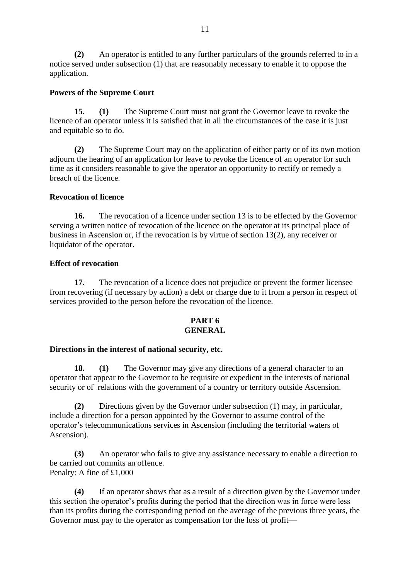**(2)** An operator is entitled to any further particulars of the grounds referred to in a notice served under subsection (1) that are reasonably necessary to enable it to oppose the application.

### **Powers of the Supreme Court**

**15. (1)** The Supreme Court must not grant the Governor leave to revoke the licence of an operator unless it is satisfied that in all the circumstances of the case it is just and equitable so to do.

**(2)** The Supreme Court may on the application of either party or of its own motion adjourn the hearing of an application for leave to revoke the licence of an operator for such time as it considers reasonable to give the operator an opportunity to rectify or remedy a breach of the licence.

### **Revocation of licence**

**16.** The revocation of a licence under section 13 is to be effected by the Governor serving a written notice of revocation of the licence on the operator at its principal place of business in Ascension or, if the revocation is by virtue of section 13(2), any receiver or liquidator of the operator.

### **Effect of revocation**

**17.** The revocation of a licence does not prejudice or prevent the former licensee from recovering (if necessary by action) a debt or charge due to it from a person in respect of services provided to the person before the revocation of the licence.

### **PART 6 GENERAL**

### **Directions in the interest of national security, etc.**

**18. (1)** The Governor may give any directions of a general character to an operator that appear to the Governor to be requisite or expedient in the interests of national security or of relations with the government of a country or territory outside Ascension.

**(2)** Directions given by the Governor under subsection (1) may, in particular, include a direction for a person appointed by the Governor to assume control of the operator's telecommunications services in Ascension (including the territorial waters of Ascension).

**(3)** An operator who fails to give any assistance necessary to enable a direction to be carried out commits an offence. Penalty: A fine of £1,000

**(4)** If an operator shows that as a result of a direction given by the Governor under this section the operator's profits during the period that the direction was in force were less than its profits during the corresponding period on the average of the previous three years, the Governor must pay to the operator as compensation for the loss of profit—